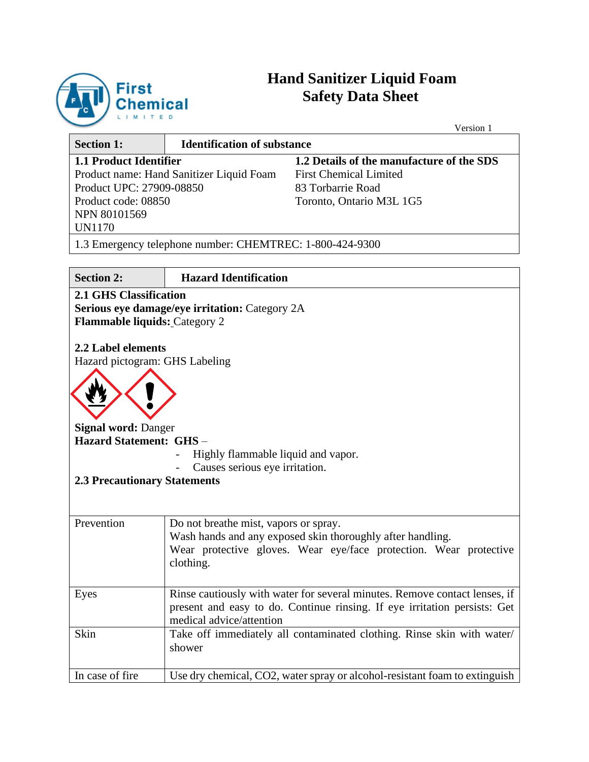

# **Hand Sanitizer Liquid Foam Safety Data Sheet**

 $\overline{V}$ 

|                                                                                                                                                                                                                                                                                              |                                                                                                                        | Version 1                                                                                                                                               |
|----------------------------------------------------------------------------------------------------------------------------------------------------------------------------------------------------------------------------------------------------------------------------------------------|------------------------------------------------------------------------------------------------------------------------|---------------------------------------------------------------------------------------------------------------------------------------------------------|
| <b>Section 1:</b>                                                                                                                                                                                                                                                                            | <b>Identification of substance</b>                                                                                     |                                                                                                                                                         |
| <b>1.1 Product Identifier</b><br>1.2 Details of the manufacture of the SDS<br><b>First Chemical Limited</b><br>Product name: Hand Sanitizer Liquid Foam<br>Product UPC: 27909-08850<br>83 Torbarrie Road<br>Product code: 08850<br>Toronto, Ontario M3L 1G5<br>NPN 80101569<br><b>UN1170</b> |                                                                                                                        |                                                                                                                                                         |
|                                                                                                                                                                                                                                                                                              | 1.3 Emergency telephone number: CHEMTREC: 1-800-424-9300                                                               |                                                                                                                                                         |
| <b>Section 2:</b>                                                                                                                                                                                                                                                                            | <b>Hazard Identification</b>                                                                                           |                                                                                                                                                         |
| <b>2.1 GHS Classification</b><br><b>Flammable liquids: Category 2</b><br>2.2 Label elements<br>Hazard pictogram: GHS Labeling<br><b>Signal word: Danger</b><br>Hazard Statement: GHS-<br><b>2.3 Precautionary Statements</b>                                                                 | Serious eye damage/eye irritation: Category 2A<br>Highly flammable liquid and vapor.<br>Causes serious eye irritation. |                                                                                                                                                         |
| Prevention                                                                                                                                                                                                                                                                                   | Do not breathe mist, vapors or spray.<br>clothing.                                                                     | Wash hands and any exposed skin thoroughly after handling.<br>Wear protective gloves. Wear eye/face protection. Wear protective                         |
| Eyes                                                                                                                                                                                                                                                                                         | medical advice/attention                                                                                               | Rinse cautiously with water for several minutes. Remove contact lenses, if<br>present and easy to do. Continue rinsing. If eye irritation persists: Get |
| Skin                                                                                                                                                                                                                                                                                         | shower                                                                                                                 | Take off immediately all contaminated clothing. Rinse skin with water/                                                                                  |
| In case of fire                                                                                                                                                                                                                                                                              |                                                                                                                        | Use dry chemical, CO2, water spray or alcohol-resistant foam to extinguish                                                                              |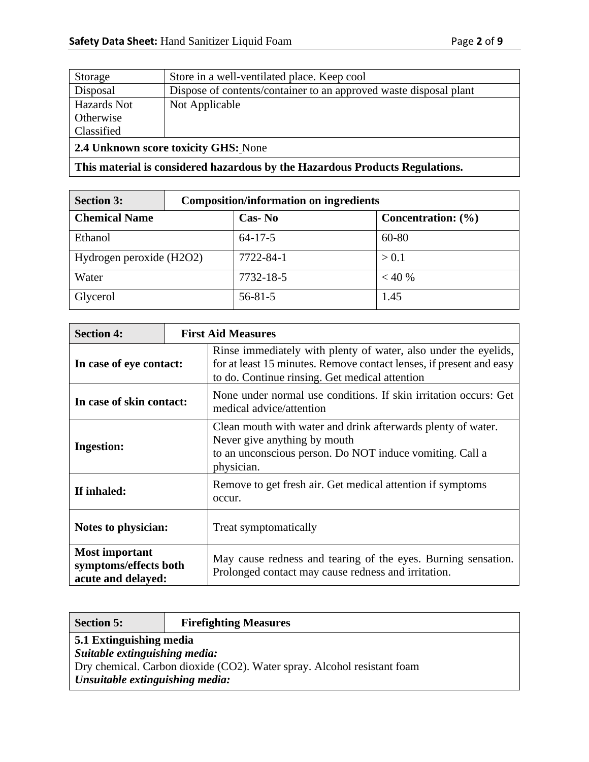| Storage                                     | Store in a well-ventilated place. Keep cool                       |  |  |
|---------------------------------------------|-------------------------------------------------------------------|--|--|
| Disposal                                    | Dispose of contents/container to an approved waste disposal plant |  |  |
| Hazards Not                                 | Not Applicable                                                    |  |  |
| Otherwise                                   |                                                                   |  |  |
| Classified                                  |                                                                   |  |  |
| <b>2.4 Unknown score toxicity GHS: None</b> |                                                                   |  |  |

**This material is considered hazardous by the Hazardous Products Regulations.**

| <b>Section 3:</b>        | <b>Composition/information on ingredients</b> |               |  |                        |
|--------------------------|-----------------------------------------------|---------------|--|------------------------|
| <b>Chemical Name</b>     |                                               | Cas-No        |  | Concentration: $(\% )$ |
| Ethanol                  |                                               | $64 - 17 - 5$ |  | 60-80                  |
| Hydrogen peroxide (H2O2) |                                               | 7722-84-1     |  | > 0.1                  |
| Water                    |                                               | 7732-18-5     |  | < 40%                  |
| Glycerol                 |                                               | $56 - 81 - 5$ |  | 1.45                   |

| <b>Section 4:</b>                                                    | <b>First Aid Measures</b> |                                                                                                                                                                                          |  |
|----------------------------------------------------------------------|---------------------------|------------------------------------------------------------------------------------------------------------------------------------------------------------------------------------------|--|
| In case of eye contact:                                              |                           | Rinse immediately with plenty of water, also under the eyelids,<br>for at least 15 minutes. Remove contact lenses, if present and easy<br>to do. Continue rinsing. Get medical attention |  |
| In case of skin contact:                                             |                           | None under normal use conditions. If skin irritation occurs: Get<br>medical advice/attention                                                                                             |  |
| <b>Ingestion:</b>                                                    |                           | Clean mouth with water and drink afterwards plenty of water.<br>Never give anything by mouth<br>to an unconscious person. Do NOT induce vomiting. Call a<br>physician.                   |  |
| If inhaled:                                                          |                           | Remove to get fresh air. Get medical attention if symptoms<br>occur.                                                                                                                     |  |
| Notes to physician:                                                  |                           | Treat symptomatically                                                                                                                                                                    |  |
| <b>Most important</b><br>symptoms/effects both<br>acute and delayed: |                           | May cause redness and tearing of the eyes. Burning sensation.<br>Prolonged contact may cause redness and irritation.                                                                     |  |

| <b>Section 5:</b>                                                                                          | <b>Firefighting Measures</b> |  |
|------------------------------------------------------------------------------------------------------------|------------------------------|--|
| 5.1 Extinguishing media                                                                                    |                              |  |
| Suitable extinguishing media:                                                                              |                              |  |
| Dry chemical. Carbon dioxide (CO2). Water spray. Alcohol resistant foam<br>Unsuitable extinguishing media: |                              |  |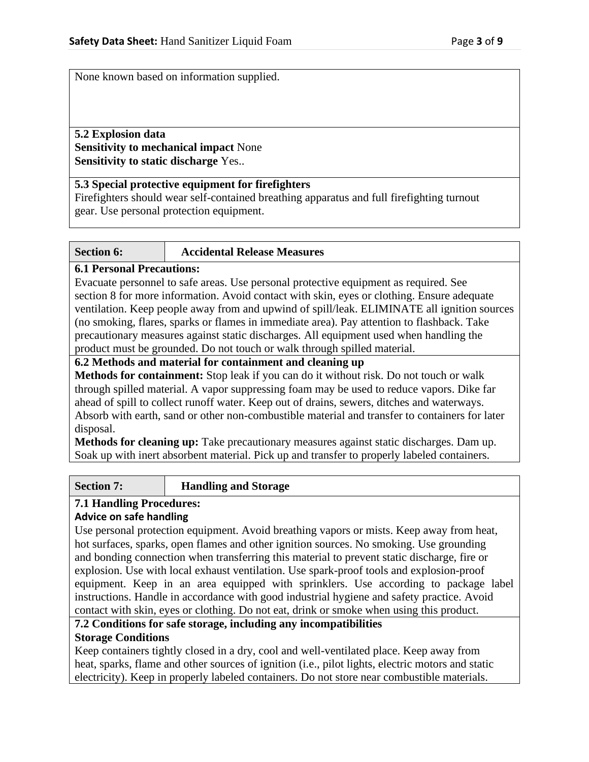None known based on information supplied.

# **5.2 Explosion data Sensitivity to mechanical impact** None **Sensitivity to static discharge** Yes..

## **5.3 Special protective equipment for firefighters**

Firefighters should wear self-contained breathing apparatus and full firefighting turnout gear. Use personal protection equipment.

## **Section 6: Accidental Release Measures**

## **6.1 Personal Precautions:**

Evacuate personnel to safe areas. Use personal protective equipment as required. See section 8 for more information. Avoid contact with skin, eyes or clothing. Ensure adequate ventilation. Keep people away from and upwind of spill/leak. ELIMINATE all ignition sources (no smoking, flares, sparks or flames in immediate area). Pay attention to flashback. Take precautionary measures against static discharges. All equipment used when handling the product must be grounded. Do not touch or walk through spilled material.

### **6.2 Methods and material for containment and cleaning up**

**Methods for containment:** Stop leak if you can do it without risk. Do not touch or walk through spilled material. A vapor suppressing foam may be used to reduce vapors. Dike far ahead of spill to collect runoff water. Keep out of drains, sewers, ditches and waterways. Absorb with earth, sand or other non-combustible material and transfer to containers for later disposal.

**Methods for cleaning up:** Take precautionary measures against static discharges. Dam up. Soak up with inert absorbent material. Pick up and transfer to properly labeled containers.

### **Section 7: Handling and Storage**

# **7.1 Handling Procedures:**

# **Advice on safe handling**

Use personal protection equipment. Avoid breathing vapors or mists. Keep away from heat, hot surfaces, sparks, open flames and other ignition sources. No smoking. Use grounding and bonding connection when transferring this material to prevent static discharge, fire or explosion. Use with local exhaust ventilation. Use spark-proof tools and explosion-proof equipment. Keep in an area equipped with sprinklers. Use according to package label instructions. Handle in accordance with good industrial hygiene and safety practice. Avoid contact with skin, eyes or clothing. Do not eat, drink or smoke when using this product.

**7.2 Conditions for safe storage, including any incompatibilities Storage Conditions**

Keep containers tightly closed in a dry, cool and well-ventilated place. Keep away from heat, sparks, flame and other sources of ignition (i.e., pilot lights, electric motors and static electricity). Keep in properly labeled containers. Do not store near combustible materials.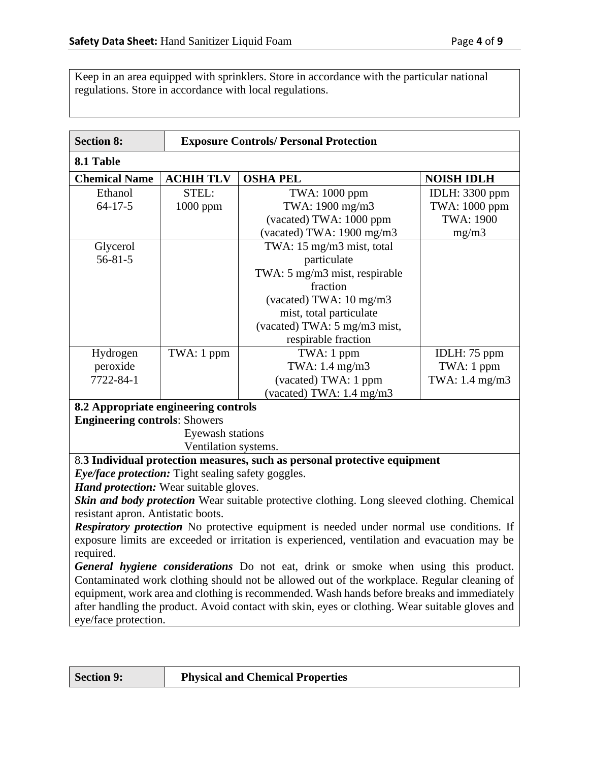Keep in an area equipped with sprinklers. Store in accordance with the particular national regulations. Store in accordance with local regulations.

| <b>Section 8:</b>                                                                               | <b>Exposure Controls/ Personal Protection</b> |                                                                                                 |                       |
|-------------------------------------------------------------------------------------------------|-----------------------------------------------|-------------------------------------------------------------------------------------------------|-----------------------|
| 8.1 Table                                                                                       |                                               |                                                                                                 |                       |
| <b>Chemical Name</b>                                                                            | <b>ACHIH TLV</b>                              | <b>OSHA PEL</b>                                                                                 | <b>NOISH IDLH</b>     |
| Ethanol                                                                                         | STEL:                                         | TWA: 1000 ppm                                                                                   | <b>IDLH:</b> 3300 ppm |
| $64 - 17 - 5$                                                                                   | 1000 ppm                                      | TWA: 1900 mg/m3                                                                                 | TWA: 1000 ppm         |
|                                                                                                 |                                               | (vacated) TWA: 1000 ppm                                                                         | <b>TWA: 1900</b>      |
|                                                                                                 |                                               | (vacated) TWA: 1900 mg/m3                                                                       | mg/m3                 |
| Glycerol                                                                                        |                                               | TWA: 15 mg/m3 mist, total                                                                       |                       |
| $56 - 81 - 5$                                                                                   |                                               | particulate                                                                                     |                       |
|                                                                                                 |                                               | TWA: 5 mg/m3 mist, respirable                                                                   |                       |
|                                                                                                 |                                               | fraction                                                                                        |                       |
|                                                                                                 |                                               | (vacated) TWA: 10 mg/m3                                                                         |                       |
|                                                                                                 |                                               | mist, total particulate                                                                         |                       |
|                                                                                                 |                                               | (vacated) TWA: 5 mg/m3 mist,                                                                    |                       |
|                                                                                                 |                                               | respirable fraction                                                                             |                       |
| Hydrogen                                                                                        | TWA: 1 ppm                                    | TWA: 1 ppm                                                                                      | IDLH: 75 ppm          |
| peroxide                                                                                        |                                               | TWA: 1.4 mg/m3                                                                                  | TWA: 1 ppm            |
| 7722-84-1                                                                                       |                                               | (vacated) TWA: 1 ppm                                                                            | TWA: 1.4 mg/m3        |
|                                                                                                 |                                               | (vacated) TWA: 1.4 mg/m3                                                                        |                       |
| 8.2 Appropriate engineering controls                                                            |                                               |                                                                                                 |                       |
| <b>Engineering controls: Showers</b>                                                            |                                               |                                                                                                 |                       |
|                                                                                                 | Eyewash stations                              |                                                                                                 |                       |
|                                                                                                 | Ventilation systems.                          |                                                                                                 |                       |
| 8.3 Individual protection measures, such as personal protective equipment                       |                                               |                                                                                                 |                       |
| Eye/face protection: Tight sealing safety goggles.                                              |                                               |                                                                                                 |                       |
| <b>Hand protection:</b> Wear suitable gloves.                                                   |                                               |                                                                                                 |                       |
|                                                                                                 |                                               | Skin and body protection Wear suitable protective clothing. Long sleeved clothing. Chemical     |                       |
| resistant apron. Antistatic boots.                                                              |                                               |                                                                                                 |                       |
| <b>Respiratory protection</b> No protective equipment is needed under normal use conditions. If |                                               |                                                                                                 |                       |
| exposure limits are exceeded or irritation is experienced, ventilation and evacuation may be    |                                               |                                                                                                 |                       |
| required.                                                                                       |                                               |                                                                                                 |                       |
| General hygiene considerations Do not eat, drink or smoke when using this product.              |                                               |                                                                                                 |                       |
| Contaminated work clothing should not be allowed out of the workplace. Regular cleaning of      |                                               |                                                                                                 |                       |
| equipment, work area and clothing is recommended. Wash hands before breaks and immediately      |                                               |                                                                                                 |                       |
|                                                                                                 |                                               | after handling the product. Avoid contact with skin, eyes or clothing. Wear suitable gloves and |                       |
| eye/face protection.                                                                            |                                               |                                                                                                 |                       |
|                                                                                                 |                                               |                                                                                                 |                       |

| Section 9: | <b>Physical and Chemical Properties</b> |
|------------|-----------------------------------------|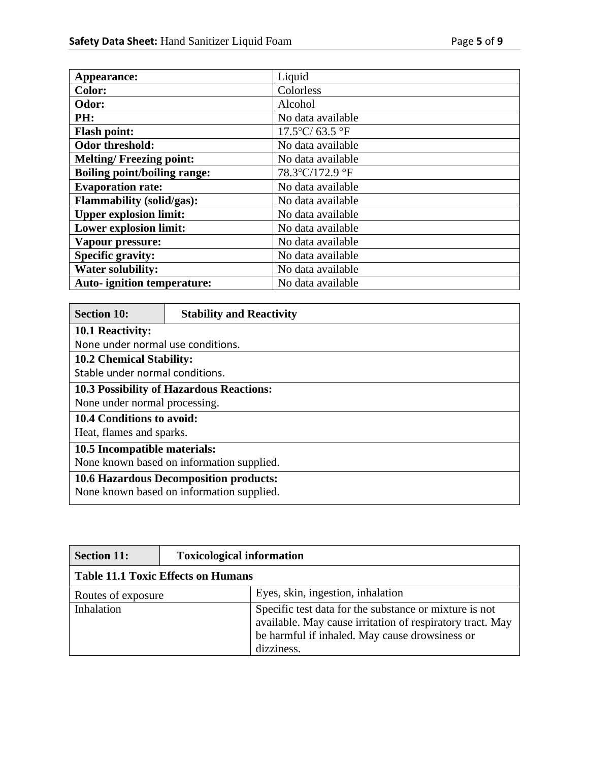| Appearance:                         | Liquid                   |
|-------------------------------------|--------------------------|
| <b>Color:</b>                       | Colorless                |
| Odor:                               | Alcohol                  |
| PH:                                 | No data available        |
| <b>Flash point:</b>                 | $17.5^{\circ}$ C/63.5 °F |
| Odor threshold:                     | No data available        |
| <b>Melting/Freezing point:</b>      | No data available        |
| <b>Boiling point/boiling range:</b> | 78.3°C/172.9 °F          |
| <b>Evaporation rate:</b>            | No data available        |
| <b>Flammability (solid/gas):</b>    | No data available        |
| <b>Upper explosion limit:</b>       | No data available        |
| Lower explosion limit:              | No data available        |
| Vapour pressure:                    | No data available        |
| <b>Specific gravity:</b>            | No data available        |
| <b>Water solubility:</b>            | No data available        |
| <b>Auto-</b> ignition temperature:  | No data available        |

| <b>Section 10:</b>                        | <b>Stability and Reactivity</b>                 |  |  |  |
|-------------------------------------------|-------------------------------------------------|--|--|--|
| <b>10.1 Reactivity:</b>                   |                                                 |  |  |  |
| None under normal use conditions.         |                                                 |  |  |  |
| <b>10.2 Chemical Stability:</b>           |                                                 |  |  |  |
| Stable under normal conditions.           |                                                 |  |  |  |
|                                           | <b>10.3 Possibility of Hazardous Reactions:</b> |  |  |  |
|                                           | None under normal processing.                   |  |  |  |
| 10.4 Conditions to avoid:                 |                                                 |  |  |  |
| Heat, flames and sparks.                  |                                                 |  |  |  |
| 10.5 Incompatible materials:              |                                                 |  |  |  |
| None known based on information supplied. |                                                 |  |  |  |
| 10.6 Hazardous Decomposition products:    |                                                 |  |  |  |
| None known based on information supplied. |                                                 |  |  |  |

| <b>Section 11:</b>                        | <b>Toxicological information</b> |                                                                                                                                                                                     |
|-------------------------------------------|----------------------------------|-------------------------------------------------------------------------------------------------------------------------------------------------------------------------------------|
| <b>Table 11.1 Toxic Effects on Humans</b> |                                  |                                                                                                                                                                                     |
| Routes of exposure                        |                                  | Eyes, skin, ingestion, inhalation                                                                                                                                                   |
| Inhalation                                |                                  | Specific test data for the substance or mixture is not<br>available. May cause irritation of respiratory tract. May<br>be harmful if inhaled. May cause drowsiness or<br>dizziness. |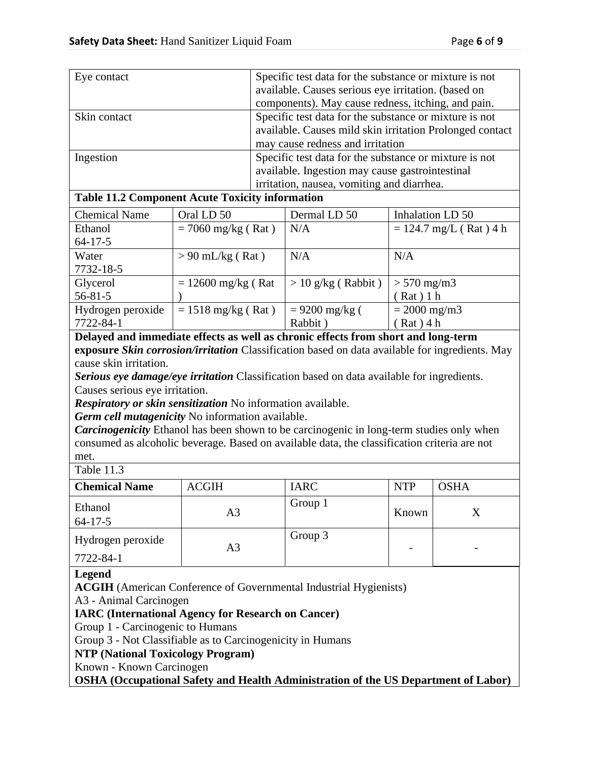| Eye contact  | Specific test data for the substance or mixture is not   |  |
|--------------|----------------------------------------------------------|--|
|              | available. Causes serious eye irritation. (based on      |  |
|              | components). May cause redness, itching, and pain.       |  |
| Skin contact | Specific test data for the substance or mixture is not   |  |
|              | available. Causes mild skin irritation Prolonged contact |  |
|              | may cause redness and irritation                         |  |
| Ingestion    | Specific test data for the substance or mixture is not   |  |
|              | available. Ingestion may cause gastrointestinal          |  |
|              | irritation, nausea, vomiting and diarrhea.               |  |

# **Table 11.2 Component Acute Toxicity information**

| <b>Chemical Name</b> | Oral LD 50                   | Dermal LD 50         | Inhalation LD 50         |
|----------------------|------------------------------|----------------------|--------------------------|
| Ethanol              | $= 7060$ mg/kg (Rat)         | N/A                  | $= 124.7$ mg/L (Rat) 4 h |
| $64 - 17 - 5$        |                              |                      |                          |
| Water                | $> 90$ mL/kg (Rat)           | N/A                  | N/A                      |
| 7732-18-5            |                              |                      |                          |
| Glycerol             | $= 12600$ mg/kg (Rat         | $> 10$ g/kg (Rabbit) | $> 570$ mg/m3            |
| $56 - 81 - 5$        |                              |                      | Rat) 1 h                 |
| Hydrogen peroxide    | $= 1518 \text{ mg/kg}$ (Rat) | $= 9200$ mg/kg (     | $= 2000$ mg/m3           |
| 7722-84-1            |                              | Rabbit)              | $(Rat)$ 4 h              |

**Delayed and immediate effects as well as chronic effects from short and long-term exposure** *Skin corrosion/irritation* Classification based on data available for ingredients. May cause skin irritation.

*Serious eye damage/eye irritation* Classification based on data available for ingredients. Causes serious eye irritation.

*Respiratory or skin sensitization* No information available.

*Germ cell mutagenicity* No information available.

*Carcinogenicity* Ethanol has been shown to be carcinogenic in long-term studies only when consumed as alcoholic beverage. Based on available data, the classification criteria are not met.

Table 11.3

| <b>Chemical Name</b>     | <b>ACGIH</b> | <b>IARC</b> | <b>NTP</b> | <b>OSHA</b> |  |
|--------------------------|--------------|-------------|------------|-------------|--|
| Ethanol<br>$64 - 17 - 5$ | A3           | Group 1     | Known      |             |  |
| Hydrogen peroxide        | A3           | Group 3     |            | -           |  |
| 7722-84-1                |              |             |            |             |  |

# **Legend**

**ACGIH** (American Conference of Governmental Industrial Hygienists)

A3 - Animal Carcinogen

# **IARC (International Agency for Research on Cancer)**

Group 1 - Carcinogenic to Humans

Group 3 - Not Classifiable as to Carcinogenicity in Humans

**NTP (National Toxicology Program)**

Known - Known Carcinogen

**OSHA (Occupational Safety and Health Administration of the US Department of Labor)**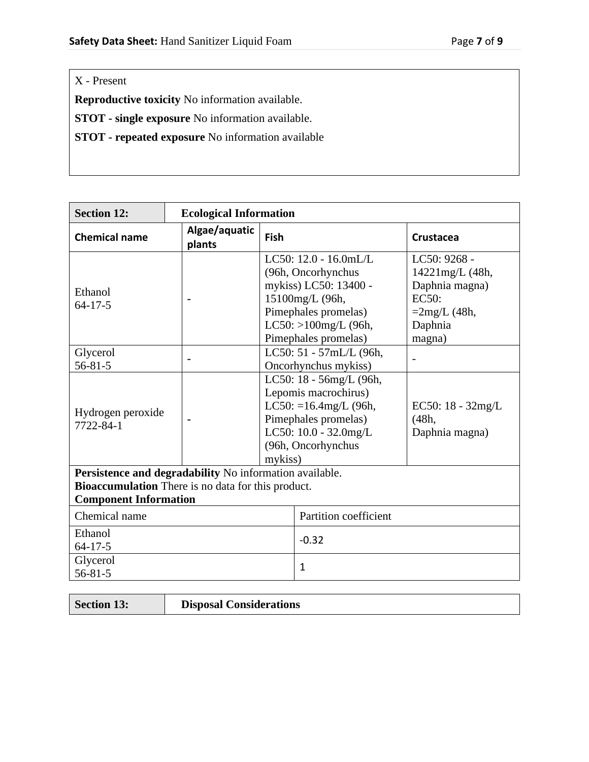X - Present

**Reproductive toxicity** No information available.

**STOT - single exposure** No information available.

**STOT - repeated exposure** No information available

| <b>Section 12:</b>                                                                 |                         | <b>Ecological Information</b> |                                                                                                                                                                       |                                                                                                         |  |  |
|------------------------------------------------------------------------------------|-------------------------|-------------------------------|-----------------------------------------------------------------------------------------------------------------------------------------------------------------------|---------------------------------------------------------------------------------------------------------|--|--|
| <b>Chemical name</b>                                                               | Algae/aquatic<br>plants | Fish                          |                                                                                                                                                                       | Crustacea                                                                                               |  |  |
| Ethanol<br>$64 - 17 - 5$                                                           |                         |                               | LC50: $12.0 - 16.0$ mL/L<br>(96h, Oncorhynchus<br>mykiss) LC50: 13400 -<br>15100mg/L (96h,<br>Pimephales promelas)<br>$LC50$ : >100mg/L (96h,<br>Pimephales promelas) | LC50: 9268 -<br>14221mg/L (48h,<br>Daphnia magna)<br><b>EC50:</b><br>$=2mg/L(48h,$<br>Daphnia<br>magna) |  |  |
| Glycerol<br>$56 - 81 - 5$                                                          |                         |                               | LC50: 51 - 57mL/L (96h,<br>Oncorhynchus mykiss)                                                                                                                       |                                                                                                         |  |  |
| Hydrogen peroxide<br>7722-84-1                                                     |                         | mykiss)                       | LC50: 18 - 56mg/L (96h,<br>Lepomis macrochirus)<br>LC50: $=16.4$ mg/L (96h,<br>Pimephales promelas)<br>LC50: 10.0 - 32.0mg/L<br>(96h, Oncorhynchus                    | EC50: $18 - 32mg/L$<br>(48h,<br>Daphnia magna)                                                          |  |  |
| Persistence and degradability No information available.                            |                         |                               |                                                                                                                                                                       |                                                                                                         |  |  |
| Bioaccumulation There is no data for this product.<br><b>Component Information</b> |                         |                               |                                                                                                                                                                       |                                                                                                         |  |  |
| Chemical name                                                                      |                         |                               | Partition coefficient                                                                                                                                                 |                                                                                                         |  |  |
| Ethanol<br>$64 - 17 - 5$                                                           |                         |                               | $-0.32$                                                                                                                                                               |                                                                                                         |  |  |
| Glycerol<br>$56 - 81 - 5$                                                          |                         |                               | $\mathbf{1}$                                                                                                                                                          |                                                                                                         |  |  |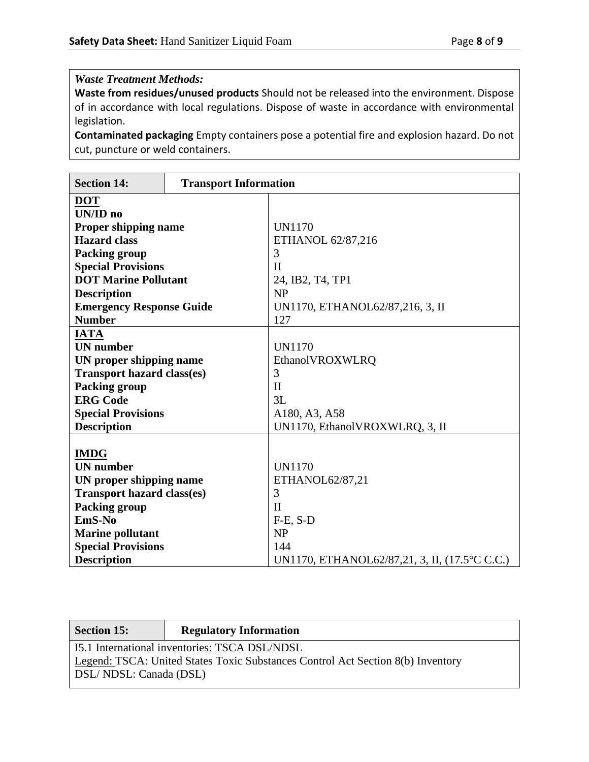# *Waste Treatment Methods:*

**Waste from residues/unused products** Should not be released into the environment. Dispose of in accordance with local regulations. Dispose of waste in accordance with environmental legislation.

**Contaminated packaging** Empty containers pose a potential fire and explosion hazard. Do not cut, puncture or weld containers.

| <b>Section 14:</b>                | <b>Transport Information</b> |                                               |  |  |  |  |
|-----------------------------------|------------------------------|-----------------------------------------------|--|--|--|--|
| <b>DOT</b>                        |                              |                                               |  |  |  |  |
| <b>UN/ID</b> no                   |                              |                                               |  |  |  |  |
| <b>Proper shipping name</b>       |                              | <b>UN1170</b>                                 |  |  |  |  |
| <b>Hazard class</b>               |                              | ETHANOL 62/87,216                             |  |  |  |  |
| <b>Packing group</b>              |                              | 3                                             |  |  |  |  |
| <b>Special Provisions</b>         |                              | $\mathbf{I}$                                  |  |  |  |  |
| <b>DOT Marine Pollutant</b>       |                              | 24, IB2, T4, TP1                              |  |  |  |  |
| <b>Description</b>                |                              | NP                                            |  |  |  |  |
| <b>Emergency Response Guide</b>   |                              | UN1170, ETHANOL62/87,216, 3, II               |  |  |  |  |
| <b>Number</b>                     |                              | 127                                           |  |  |  |  |
| <b>IATA</b>                       |                              |                                               |  |  |  |  |
| <b>UN</b> number                  |                              | <b>UN1170</b>                                 |  |  |  |  |
| UN proper shipping name           |                              | EthanolVROXWLRQ                               |  |  |  |  |
| <b>Transport hazard class(es)</b> |                              | 3                                             |  |  |  |  |
| <b>Packing group</b>              |                              | $\mathbf{I}$                                  |  |  |  |  |
| <b>ERG Code</b>                   |                              | 3L                                            |  |  |  |  |
| <b>Special Provisions</b>         |                              | A180, A3, A58                                 |  |  |  |  |
| <b>Description</b>                |                              | UN1170, EthanolVROXWLRQ, 3, II                |  |  |  |  |
|                                   |                              |                                               |  |  |  |  |
| <b>IMDG</b>                       |                              |                                               |  |  |  |  |
| <b>UN</b> number                  |                              | <b>UN1170</b>                                 |  |  |  |  |
| UN proper shipping name           |                              | ETHANOL62/87,21                               |  |  |  |  |
| <b>Transport hazard class(es)</b> |                              | 3                                             |  |  |  |  |
| <b>Packing group</b>              |                              | $\mathbf{I}$                                  |  |  |  |  |
| EmS-No                            |                              | $F-E$ , $S-D$                                 |  |  |  |  |
| <b>Marine pollutant</b>           |                              | NP                                            |  |  |  |  |
| <b>Special Provisions</b>         |                              | 144                                           |  |  |  |  |
| <b>Description</b>                |                              | UN1170, ETHANOL62/87,21, 3, II, (17.5°C C.C.) |  |  |  |  |

| <b>Section 15:</b>                                                              | <b>Regulatory Information</b> |  |  |  |  |
|---------------------------------------------------------------------------------|-------------------------------|--|--|--|--|
| I5.1 International inventories: TSCA DSL/NDSL                                   |                               |  |  |  |  |
| Legend: TSCA: United States Toxic Substances Control Act Section 8(b) Inventory |                               |  |  |  |  |
| DSL/NDSL: Canada (DSL)                                                          |                               |  |  |  |  |
|                                                                                 |                               |  |  |  |  |